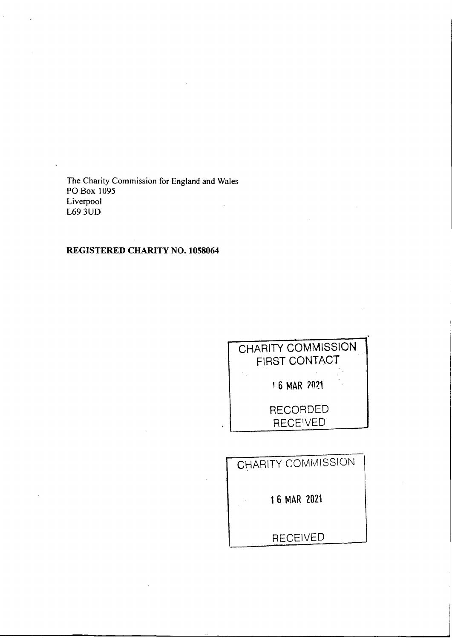The Charity Commission for England and Wales<br>PO Box 1095 Liverpool  $L69$   $3UD$ 

# REGISTERED CHARITY NO. 1058064

| <b>CHARITY COMMISSION</b><br><b>FIRST CONTACT</b> |  |  |  |  |
|---------------------------------------------------|--|--|--|--|
| 16 MAR 2021                                       |  |  |  |  |
| <b>RECORDED</b><br><b>RECEIVED</b>                |  |  |  |  |
|                                                   |  |  |  |  |

| CHARITY COMMISSION |
|--------------------|
| 16 MAR 2021        |
| <b>RECEIVED</b>    |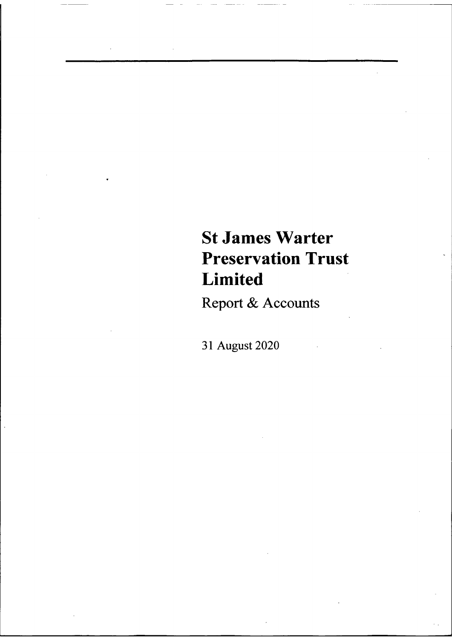# St James Warter Preservation Trust Limited

Report & Accounts

31 August 2020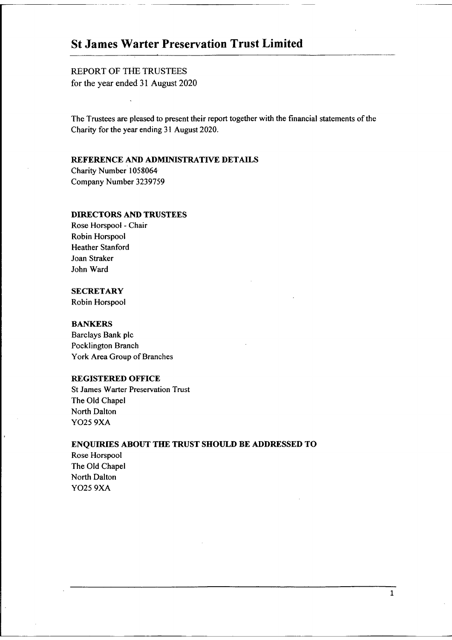# St James Warter Preservation Trust Limited

REPORT OF THE TRUSTEES for the year ended 31 August 2020

The Trustees are pleased to present their report together with the financial statements of the Charity for the year ending 31 August 2020.

# REFERENCE AND ADMINISTRATIVE DETAILS

Charity Number 1058064 Company Number 3239759

# DIRECTORS AND TRUSTEES

Rose Horspool - Chair Robin Horspool Heather Stanford Joan Straker John Ward

# **SECRETARY**

Robin Horspool

#### **BANKERS**

Barclays Bank pic Pocklington Branch York Area Group of Branches

# REGISTERED OFFICE

St James Warter Preservation Trust The Old Chapel North Dalton YO25 9XA

### ENQUIRIES ABOUT THE TRUST SHOULD BE ADDRESSED TO

Rose Horspool The Old Chapel North Dalton YO25 9XA

 $\mathbf{1}$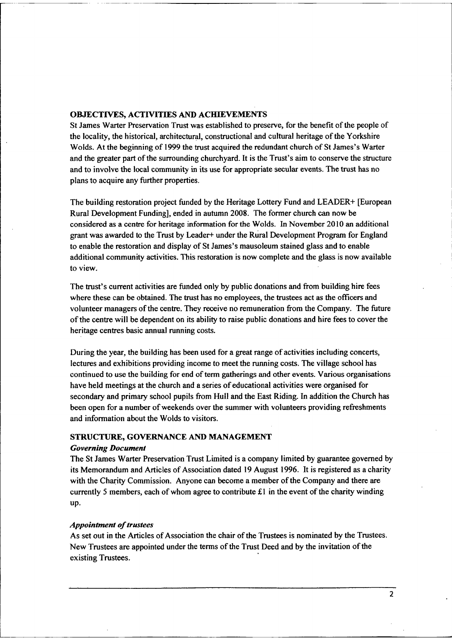## OBJECTIVES, ACTIVITIES AND ACHIEVEMENTS

St James Warter Preservation Trust was established to preserve, for the benefit of the people of the locality, the historical, architectural, constructional and cultural heritage ofthe Yorkshire Wolds. At the beginning of 1999 the trust acquired the redundant church of St James's Warter and the greater part of the surrounding churchyard. It is the Trust's aim to conserve the structure and to involve the local community in its use for appropriate secular events. The trust has no plans to acquire any further properties.

The building restoration project funded by the Heritage Lottery Fund and LEADER+ [European Rural Development Funding], ended in autumn 2008. The former church can now be considered as a centre for heritage information for the Wolds. In November 2010 an additional grant was awarded to the Trust by Leader+ under the Rural Development Program for England to enable the restoration and display of St James's mausoleum stained glass and to enable additional community activities. This restoration is now complete and the glass is now available to view.

The trust's current activities are funded only by public donations and from building hire fees where these can be obtained. The trust has no employees, the trustees act as the officers and volunteer managers of the centre. They receive no remuneration from the Company. The future ofthe centre will be dependent on its ability to raise public donations and hire fees to cover the heritage centres basic annual running costs.

During the year, the building has been used for a great range of activities including concerts, lectures and exhibitions providing income to meet the running costs. The village school has continued to use the building for end of term gatherings and other events. Various organisations have held meetings at the church and a series of educational activities were organised for secondary and primary school pupils from Hull and the East Riding. In addition the Church has been open for a number of weekends over the summer with volunteers providing refreshments and information about the Wolds to visitors.

## STRUCTURE, GOVERNANCE AND MANAGEMENT

#### **Governing Document**

The St James Warter Preservation Trust Limited is a company limited by guarantee governed by its Memorandum and Articles of Association dated 19 August 1996. It is registered as a charity with the Charity Commission. Anyone can become a member of the Company and there are currently 5 members, each of whom agree to contribute  $£1$  in the event of the charity winding up.

#### Appointment of trustees

As set out in the Articles of Association the chair of the Trustees is nominated by the Trustees. New Trustees are appointed under the terms of the Trust Deed and by the invitation of the existing Trustees.

 $\overline{2}$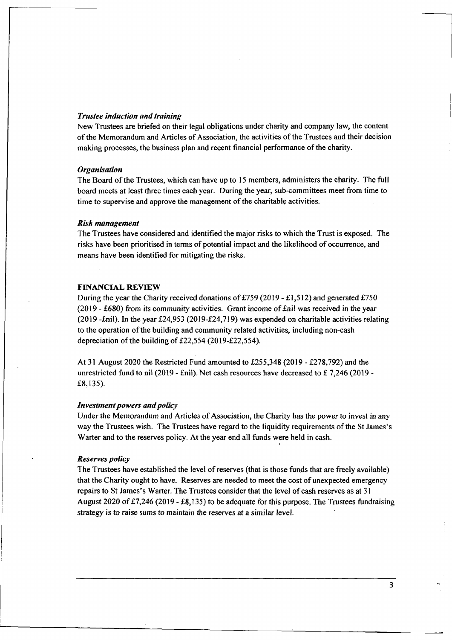#### Trustee induction and training

New Trustees are briefed on their legal obligations under charity and company law, the content of the Memorandum and Articles of Association, the activities of the Trustees and their decision making processes, the business plan and recent financial performance of the charity.

#### **Organisation**

The Board of the Trustees, which can have up to 15 members, administers the charity. The full board meets at least three times each year. During the year, sub-committees meet from time to time to supervise and approve the management of the charitable activities.

#### Risk management

The Trustees have considered and identified the major risks to which the Trust is exposed. The risks have been prioritised in terms of potential impact and the likelihood of occurrence, and means have been identified for mitigating the risks.

#### FINANCIAL REVIEW

During the year the Charity received donations of £759 (2019 - £1,512) and generated £750 (2019 - £680) from its community activities. Grant income of  $\text{fail}$  was received in the year (2019 -£nil). In the year  $£24,953$  (2019- $£24,719$ ) was expended on charitable activities relating to the operation ofthe building and community related activities, including non-cash depreciation of the building of  $£22,554$  (2019-£22,554).

At 31 August 2020 the Restricted Fund amounted to  $£255,348$  (2019 - £278,792) and the unrestricted fund to nil (2019 - £nil). Net cash resources have decreased to £7,246 (2019 -K8, 135).

#### Investment powers and policy

Under the Memorandum and Articles of Association, the Charity has the power to invest in any way the Trustees wish. The Trustees have regard to the liquidity requirements ofthe St James's Warter and to the reserves policy. At the year end all funds were held in cash.

#### Reserves policy

The Trustees have established the level of reserves (that is those funds that are freely available) that the Charity ought to have. Reserves are needed to meet the cost of unexpected emergency repairs to St James's Warter. The Trustees consider that the level of cash reserves as at 31 August 2020 of £7,246 (2019 - £8,135) to be adequate for this purpose. The Trustees fundraising strategy is to raise sums to maintain the reserves at a similar level.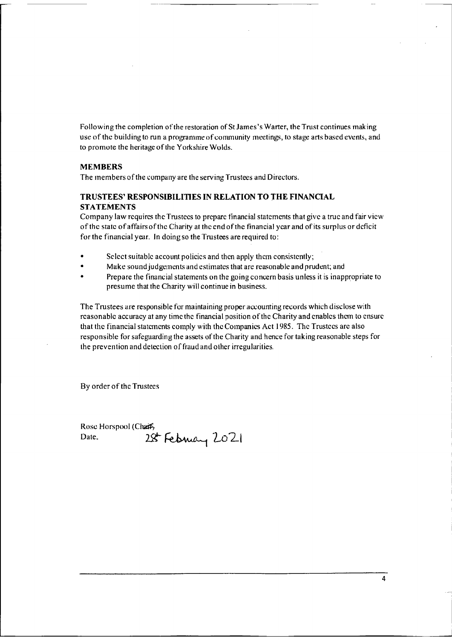Following the completion of the restoration of St James's Warter, the Trust continues making use of the building to run a programme of community meetings, to stage arts based events, and to promote the heritage of the Yorkshire Wolds.

## MEMBERS

The members of the company are the serving Trustees and Directors.

## TRUSTEES' RESPONSIBILITIES IN RELATION TO THE FINANCIAL **STATEMENTS**

Company law rcquircs thc Trustees to prepare tinancial statements that give a true and fair view ofthc state of affairs ofthc Charity at the end ofthe financial year and ofits surplus or deficit for the financial year. In doing so the Trustees are required to:

- Select suitable account policies and then apply them consistently;
- Make sound judgements and estimates that are reasonable and prudent; and
- Prepare the financial statements on the going concern basis unless it is inappropriate to presume that the Charity will continue in business.

The Trustees are responsible for maintaining proper accounting records which disclose with rcasonable accuracy at any time the financial position of the Charity and enables them to ensure that thc financial statcmcnts comply with thc Companies Act 1985. Thc Trustccs arc also responsible for safeguarding the assets of the Charity and hence for taking reasonable steps for the prevention and detection of fraud and other irregularities.

By order of the Trustees

Rose Horspool (Chafe,<br>Date, 29 28 February 2021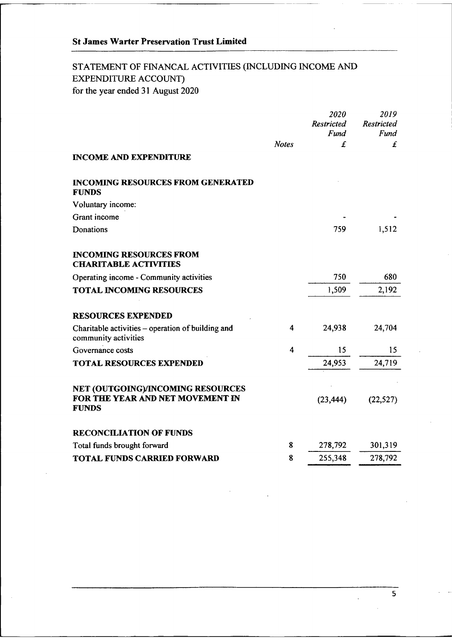# STATEMENT OF FINANCAL ACTIVITIES (INCLUDING INCOME AND EXPENDITURE ACCOUNT) for the year ended 31 August 2020

|                                                                                       |                         | 2020<br><b>Restricted</b><br>Fund | 2019<br><b>Restricted</b><br>Fund |
|---------------------------------------------------------------------------------------|-------------------------|-----------------------------------|-----------------------------------|
|                                                                                       | <b>Notes</b>            | £                                 | £                                 |
| <b>INCOME AND EXPENDITURE</b>                                                         |                         |                                   |                                   |
| <b>INCOMING RESOURCES FROM GENERATED</b><br><b>FUNDS</b>                              |                         |                                   |                                   |
| Voluntary income:                                                                     |                         |                                   |                                   |
| Grant income                                                                          |                         |                                   |                                   |
| Donations                                                                             |                         | 759                               | 1,512                             |
| <b>INCOMING RESOURCES FROM</b><br><b>CHARITABLE ACTIVITIES</b>                        |                         |                                   |                                   |
| Operating income - Community activities                                               |                         | 750                               | 680                               |
| <b>TOTAL INCOMING RESOURCES</b>                                                       |                         | 1,509                             | 2,192                             |
| <b>RESOURCES EXPENDED</b>                                                             |                         |                                   |                                   |
| Charitable activities – operation of building and<br>community activities             | 4                       | 24,938                            | 24,704                            |
| Governance costs                                                                      | $\overline{\mathbf{4}}$ | 15                                | 15                                |
| <b>TOTAL RESOURCES EXPENDED</b>                                                       |                         | 24,953                            | 24,719                            |
| NET (OUTGOING)/INCOMING RESOURCES<br>FOR THE YEAR AND NET MOVEMENT IN<br><b>FUNDS</b> |                         | (23, 444)                         | (22, 527)                         |
| <b>RECONCILIATION OF FUNDS</b>                                                        |                         |                                   |                                   |
| Total funds brought forward                                                           | 8                       | 278,792                           | 301,319                           |
| <b>TOTAL FUNDS CARRIED FORWARD</b>                                                    | 8                       | 255,348                           | 278,792                           |

 $\overline{\mathbf{5}}$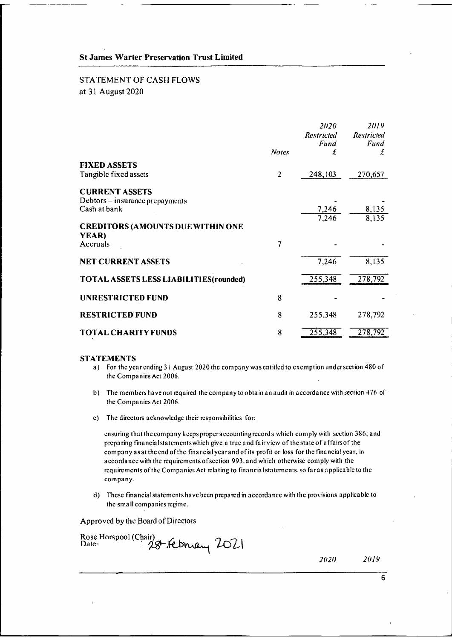# **STATEMENT OF CASH FLOWS** at 31 August 2020

|                                          | <b>Notes</b>   | 2020<br><b>Restricted</b><br>Fund<br>£ | 2019<br><b>Restricted</b><br>Fund<br>£ |
|------------------------------------------|----------------|----------------------------------------|----------------------------------------|
| <b>FIXED ASSETS</b>                      |                |                                        |                                        |
| Tangible fixed assets                    | $\overline{2}$ | 248,103                                | 270,657                                |
| <b>CURRENT ASSETS</b>                    |                |                                        |                                        |
| Debtors – insurance prepayments          |                |                                        |                                        |
| Cash at bank                             |                | 7,246                                  | 8,135                                  |
|                                          |                | 7,246                                  | 8,135                                  |
| <b>CREDITORS (AMOUNTS DUE WITHIN ONE</b> |                |                                        |                                        |
| YEAR)                                    |                |                                        |                                        |
| Accruals                                 | 7              |                                        |                                        |
| <b>NET CURRENT ASSETS</b>                |                | 7,246                                  | 8.135                                  |
| TOTAL ASSETS LESS LIABILITIES (rounded)  |                | 255,348                                | 278,792                                |
| <b>UNRESTRICTED FUND</b>                 | 8              |                                        |                                        |
|                                          |                |                                        |                                        |
| <b>RESTRICTED FUND</b>                   | 8              | 255,348                                | 278,792                                |
| <b>TOTAL CHARITY FUNDS</b>               | 8              | 255,348                                | 278,792                                |

#### **STATEMENTS**

- a) For the year ending 31 August 2020 the company was entitled to exemption undersection 480 of the Companies Act 2006.
- b) The members have not required the company to obtain an audit in accordance with section 476 of the Companies Act 2006.
- c) The directors acknowledge their responsibilities for:

ensuring that the company keeps proper accounting records which comply with section 386; and preparing financial statements which give a true and fair view of the state of affairs of the company as at the end of the financial year and of its profit or loss for the financial year, in accordance with the requirements of section 993, and which otherwise comply with the requirements of the Companies Act relating to financial statements, so far as applicable to the company.

d) These financial statements have been prepared in accordance with the provisions applicable to the small companies regime.

Approved by the Board of Directors

Rose Horspool (Chair)<br>Date : 28 February 2021

2019 2020

6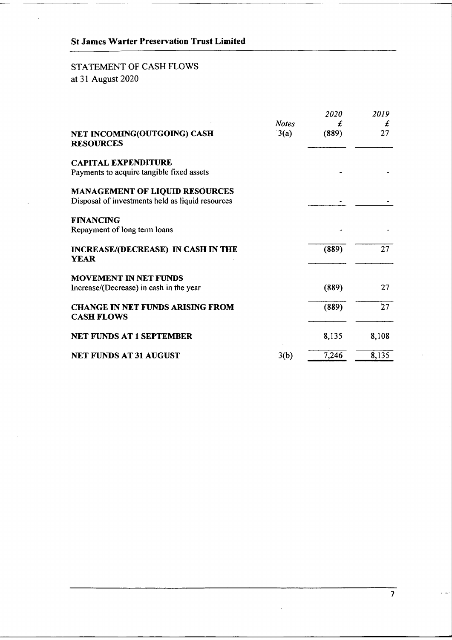# St James Warter Preservation Trust Limited

# STATEMENT OF CASH FLOWS at 31 August 2020

|                                                                                           |                      | 2020       | 2019    |
|-------------------------------------------------------------------------------------------|----------------------|------------|---------|
| NET INCOMING(OUTGOING) CASH<br><b>RESOURCES</b>                                           | <b>Notes</b><br>3(a) | £<br>(889) | £<br>27 |
| <b>CAPITAL EXPENDITURE</b><br>Payments to acquire tangible fixed assets                   |                      |            |         |
| <b>MANAGEMENT OF LIQUID RESOURCES</b><br>Disposal of investments held as liquid resources |                      |            |         |
| <b>FINANCING</b><br>Repayment of long term loans                                          |                      |            |         |
| INCREASE/(DECREASE) IN CASH IN THE<br><b>YEAR</b>                                         |                      | (889)      | 27      |
| <b>MOVEMENT IN NET FUNDS</b><br>Increase/(Decrease) in cash in the year                   |                      | (889)      | 27      |
| <b>CHANGE IN NET FUNDS ARISING FROM</b><br><b>CASH FLOWS</b>                              |                      | (889)      | 27      |
| <b>NET FUNDS AT 1 SEPTEMBER</b>                                                           |                      | 8,135      | 8,108   |
| <b>NET FUNDS AT 31 AUGUST</b>                                                             | 3(b)                 | 7,246      | 8,135   |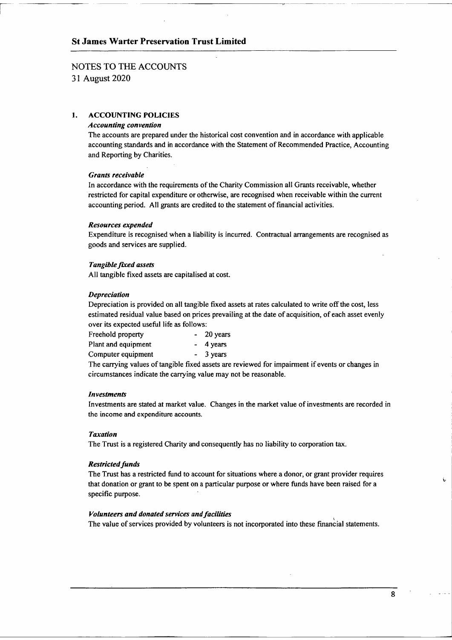# NOTES TO THE ACCOUNTS

31 August 2020

## 1. ACCOUNTING POLICIES

#### Accounting convention

The accounts are prepared under the historical cost convention and in accordance with applicable accounting standards and in accordance with the Statement of Recommended Practice, Accounting and Reporting by Charities.

#### Grants receivable

In accordance with the requirements of the Charity Commission all Grants receivable, whether restricted for capital expenditure or otherwise, are recognised when receivable within the current accounting period. All grants are credited to the statement of financial activities.

#### Resources expended

Expenditure is recognised when a liability is incurred. Contractual arrangements are recognised as goods and services are supplied.

#### Tangible fixed assets

All tangible fixed assets are capitalised at cost.

#### Depreciation

Depreciation is provided on all tangible fixed assets at rates calculated to write off the cost, less estimated residual value based on prices prevailing at the date of acquisition, of each asset evenly over its expected useful life as follows:

| Freehold property   | $-20$ years |
|---------------------|-------------|
| Plant and equipment | $-4$ years  |
| Computer equipment  | $-3$ years  |

The carrying values of tangible fixed assets are reviewed for impairment if events or changes in circumstances indicate the carrying value may not be reasonable.

#### Investments

Investments are stated at market value. Changes in the market value of investments are recorded in the income and expenditure accounts.

#### **Taxation**

The Trust is a registered Charity and consequently has no liability to corporation tax.

#### Restricted funds

The Trust has a restricted fund to account for situations where a donor, or grant provider requires that donation or grant to be spent on a particular purpose or where funds have been raised for a specific purpose.

#### Volunteers and donated services and facilities

The value of services provided by volunteers is not incorporated into these financial statements.

 $\mathbf{b}$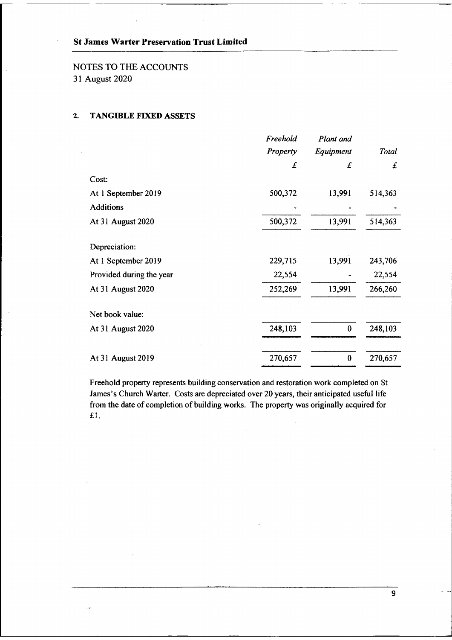# NOTES TO THE ACCOUNTS 31 August 2020

# 2. TANGIBLE FIXED ASSETS

 $\sim$ 

|                          | Freehold | Plant and |         |
|--------------------------|----------|-----------|---------|
|                          | Property | Equipment | Total   |
|                          | £        | £         | £       |
| Cost:                    |          |           |         |
| At 1 September 2019      | 500,372  | 13,991    | 514,363 |
| <b>Additions</b>         |          |           |         |
| At 31 August 2020        | 500,372  | 13,991    | 514,363 |
| Depreciation:            |          |           |         |
| At 1 September 2019      | 229,715  | 13,991    | 243,706 |
| Provided during the year | 22,554   |           | 22,554  |
| At 31 August 2020        | 252,269  | 13,991    | 266,260 |
| Net book value:          |          |           |         |
| At 31 August 2020        | 248,103  | $\bf{0}$  | 248,103 |
| At 31 August 2019        | 270,657  | $\bf{0}$  | 270,657 |

Freehold property represents building conservation and restoration work completed on St James's Church Warter. Costs are depreciated over 20 years, their anticipated useful life from the date of completion of building works. The property was originally acquired for £1.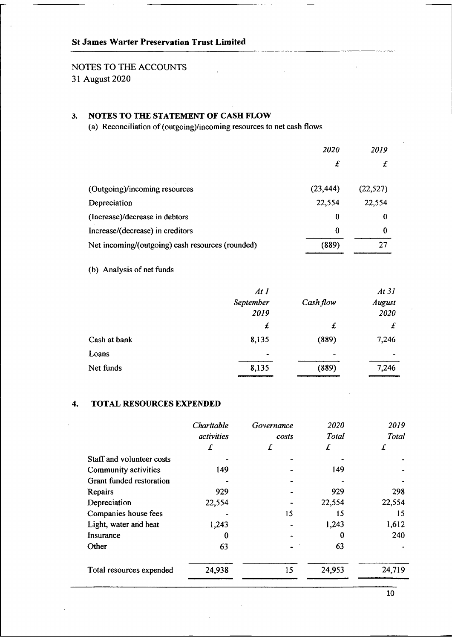# St James Warter Preservation Trust Limited

# NOTES TO THE ACCOUNTS

31 August 2020

# 3. NOTES TO THE STATEMENT OF CASH PLOW

(a) Reconciliation of (outgoing)/incoming resources to net cash flows

|                                                  | <i>2020</i> | 2019      |
|--------------------------------------------------|-------------|-----------|
|                                                  | £           |           |
| (Outgoing)/incoming resources                    | (23, 444)   | (22, 527) |
| Depreciation                                     | 22,554      | 22,554    |
| (Increase)/decrease in debtors                   | 0           | 0         |
| Increase/(decrease) in creditors                 | 0           | 0         |
| Net incoming/(outgoing) cash resources (rounded) | (889)       |           |

# (b) Analysis of net funds

|              | At 1      |                | At 31     |
|--------------|-----------|----------------|-----------|
|              | September | Cash flow      | August    |
|              | 2019      |                | 2020      |
|              | £         | £              | £         |
| Cash at bank | 8,135     | (889)          | 7,246     |
| Loans        | $\bullet$ | $\blacksquare$ | $\bullet$ |
| Net funds    | 8,135     | (889)          | 7,246     |

# 4. TOTAL RESOURCES EXPENDED

| Charitable | Governance | 2020   | 2019   |
|------------|------------|--------|--------|
| activities | costs      | Total  | Total  |
| £          | £          | £      | £      |
|            |            |        |        |
| 149        |            | 149    |        |
|            |            |        |        |
| 929        |            | 929    | 298    |
| 22,554     |            | 22,554 | 22,554 |
|            | 15         | 15     | 15     |
| 1,243      |            | 1,243  | 1,612  |
| 0          |            |        | 240    |
| 63         |            | 63     |        |
| 24,938     | 15         | 24,953 | 24,719 |
|            |            |        |        |

10